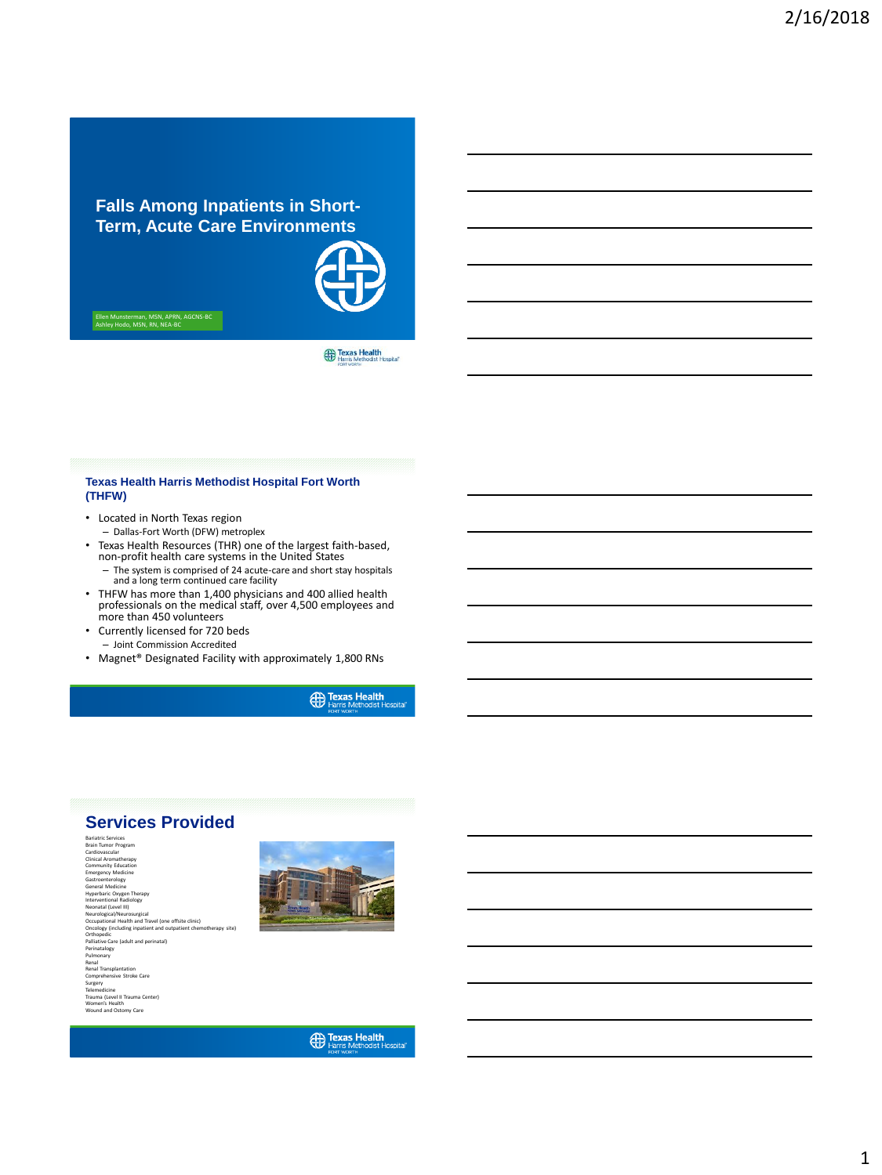# **Falls Among Inpatients in Short-Term, Acute Care Environments**

Ellen Munsterman, MSN, APRN, AGCNS-BC Ashley Hodo, MSN, RN, NEA-BC

Texas Health<br>Harris Methodist Hospital

### **Texas Health Harris Methodist Hospital Fort Worth (THFW)**

- Located in North Texas region – Dallas-Fort Worth (DFW) metroplex
- Texas Health Resources (THR) one of the largest faith-based, non-profit health care systems in the United States
	- The system is comprised of 24 acute-care and short stay hospitals and a long term continued care facility
- THFW has more than 1,400 physicians and 400 allied health professionals on the medical staff, over 4,500 employees and more than 450 volunteers
- Currently licensed for 720 beds
- Joint Commission Accredited
- Magnet® Designated Facility with approximately 1,800 RNs

**Exas Health** 

# **Services Provided**

Bariatric Services<br>Brain Tumor Program<br>Cardiovascular<br>Community Education<br>Emergency Medicine<br>Gastroenterology<br>General Medicine<br>General Medicine Hyperbaric Coxyen Therapy<br>Interventional Radiology<br>Neonatal (Level III)<br>Occupational Heardsurgical<br>Occupational Health and Travel (one offsite clinic)<br>Orchogedic<br>Orthopedic<br>Orthopedic Palliative Care (adult and perinatal) Perinatalogy Pulmonary Renal Renal Transplantation Comprehensive Stroke Care Surgery Telemedicine Trauma (Level II Trauma Center) Women's Health Wound and Ostomy Care



**B** Texas Health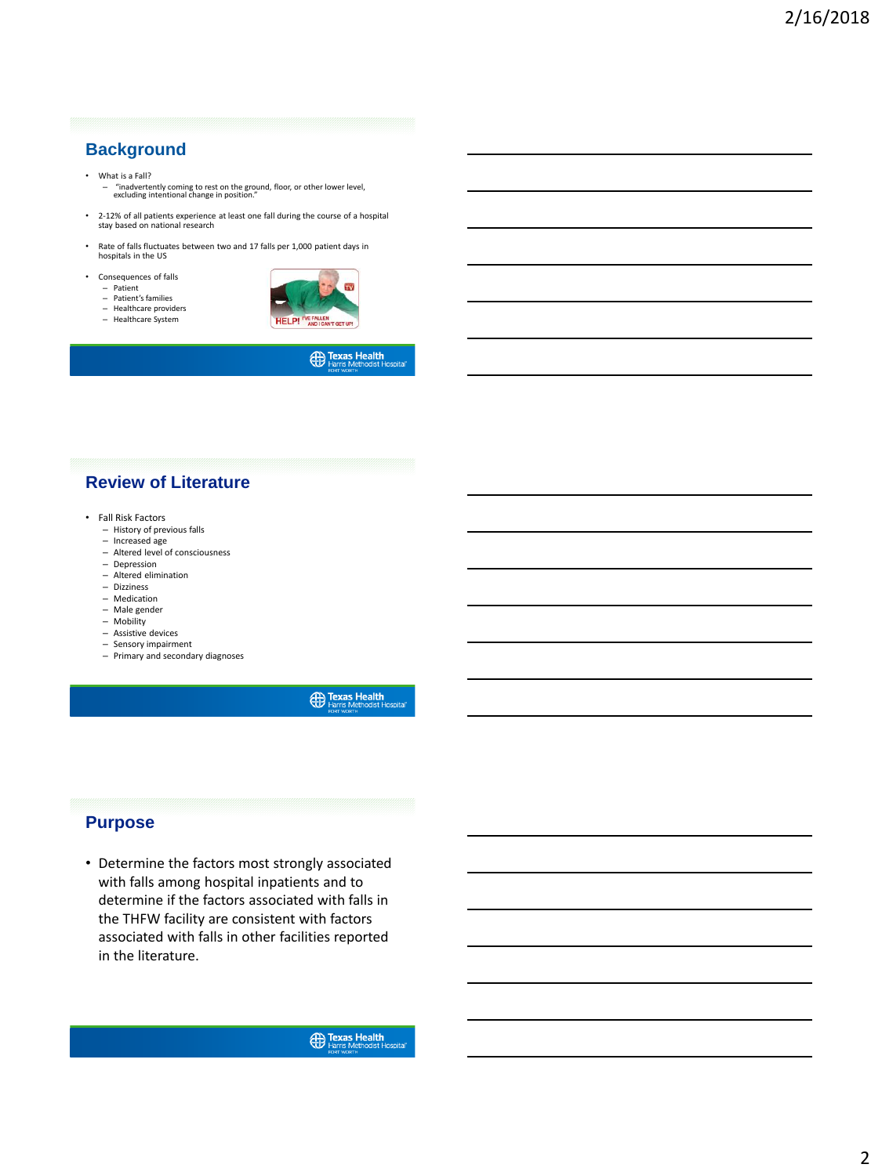# **Background**

#### • What is a Fall?

- "inadvertently coming to rest on the ground, floor, or other lower level, excluding intentional change in position."
- 2-12% of all patients experience at least one fall during the course of a hospital stay based on national research
- Rate of falls fluctuates between two and 17 falls per 1,000 patient days in hospitals in the US
- Consequences of falls
	- Patient Patient's families – Healthcare providers – Healthcare System



**Exas Health**<br>Harris Methodist Hospital

# **Review of Literature**

- Fall Risk Factors
	- History of previous falls
	- Increased age – Altered level of consciousness
	- Depression
	- Altered elimination
	- Dizziness
	- Medication
	- Male gender
	- Mobility
	- Assistive devices – Sensory impairment
	- Primary and secondary diagnoses

**Exas Health** 

## **Purpose**

• Determine the factors most strongly associated with falls among hospital inpatients and to determine if the factors associated with falls in the THFW facility are consistent with factors associated with falls in other facilities reported in the literature.

**Exas Health**<br>Harris Methodist Hosp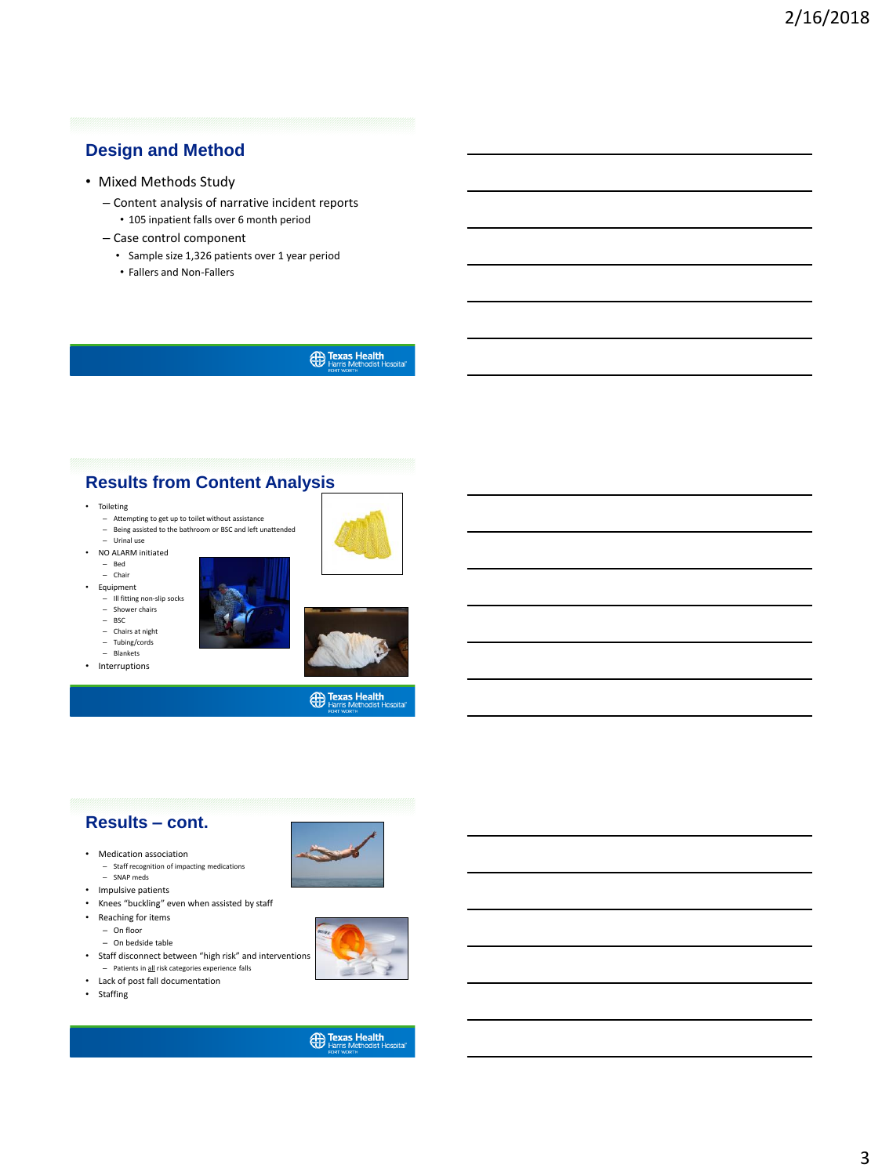# **Design and Method**

- Mixed Methods Study
	- Content analysis of narrative incident reports
		- 105 inpatient falls over 6 month period
	- Case control component
		- Sample size 1,326 patients over 1 year period
		- Fallers and Non-Fallers

**Exas Health**<br>Harris Methodist Hospital

# **Results from Content Analysis**

- Toileting
	- Attempting to get up to toilet without assistance – Being assisted to the bathroom or BSC and left unattended
	- Urinal use
- NO ALARM initiated
	- Bed Chair
	-
- Equipment – Ill fitting non-slip socks
	- Shower chairs
	- BSC
	- Chairs at night – Tubing/cords
	- Blankets
- Interruptions





**Exas Health** 

# **Results – cont.**

- Medication association
	- Staff recognition of impacting medications – SNAP meds
- Impulsive patients
- Knees "buckling" even when assisted by staff
- Reaching for items
	- On floor
	- On bedside table
- Staff disconnect between "high risk" and interventions – Patients in all risk categories experience falls
- Lack of post fall documentation
- Staffing



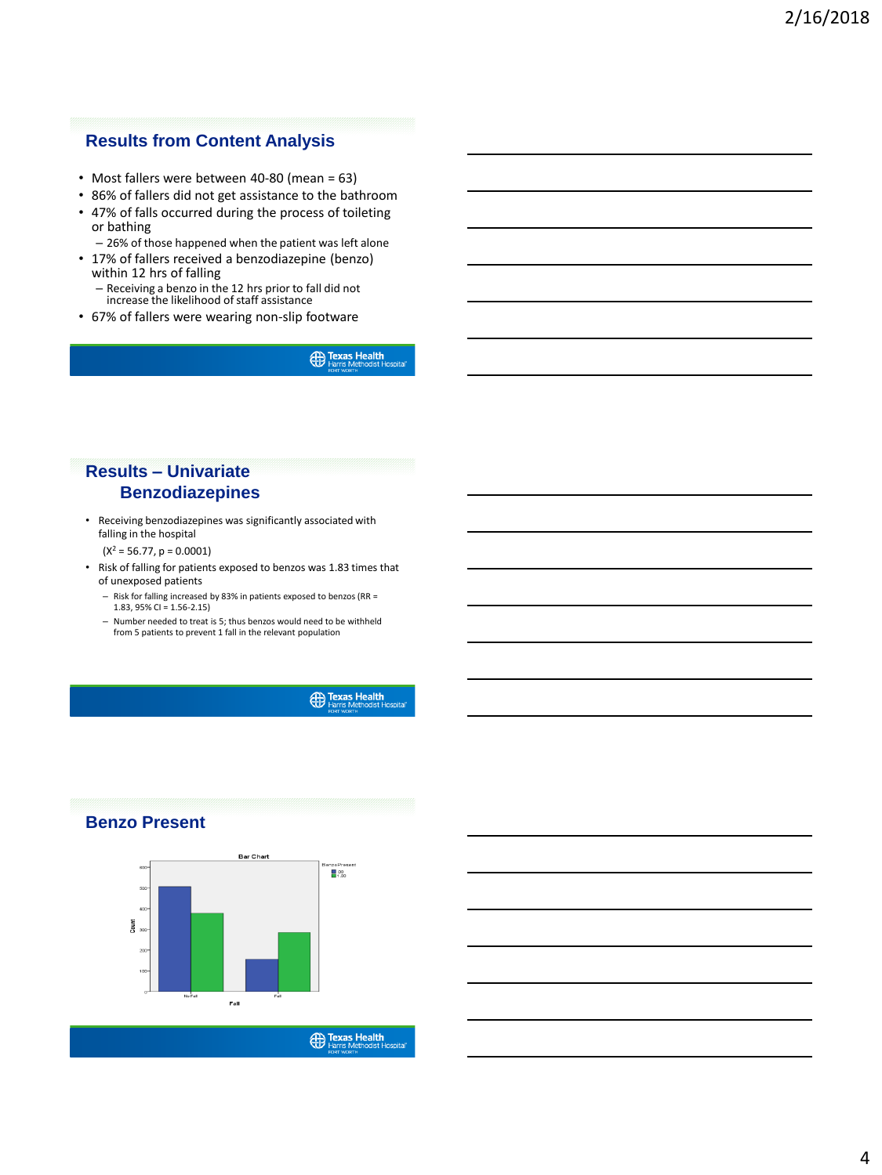# **Results from Content Analysis**

- Most fallers were between 40-80 (mean = 63)
- 86% of fallers did not get assistance to the bathroom
- 47% of falls occurred during the process of toileting or bathing
- 26% of those happened when the patient was left alone • 17% of fallers received a benzodiazepine (benzo)
	- within 12 hrs of falling – Receiving a benzo in the 12 hrs prior to fall did not increase the likelihood of staff assistance
- 67% of fallers were wearing non-slip footware

**(Fr)** Texas Health

# **Results – Univariate Benzodiazepines**

- Receiving benzodiazepines was significantly associated with falling in the hospital
	- $(X^2 = 56.77, p = 0.0001)$
- Risk of falling for patients exposed to benzos was 1.83 times that of unexposed patients
	- Risk for falling increased by 83% in patients exposed to benzos (RR = 1.83, 95% CI =  $1.56 - 2.15$
	- Number needed to treat is 5; thus benzos would need to be withheld from 5 patients to prevent 1 fall in the relevant population

**Exas Health** 

# **Benzo Present**



**ED Texas Health**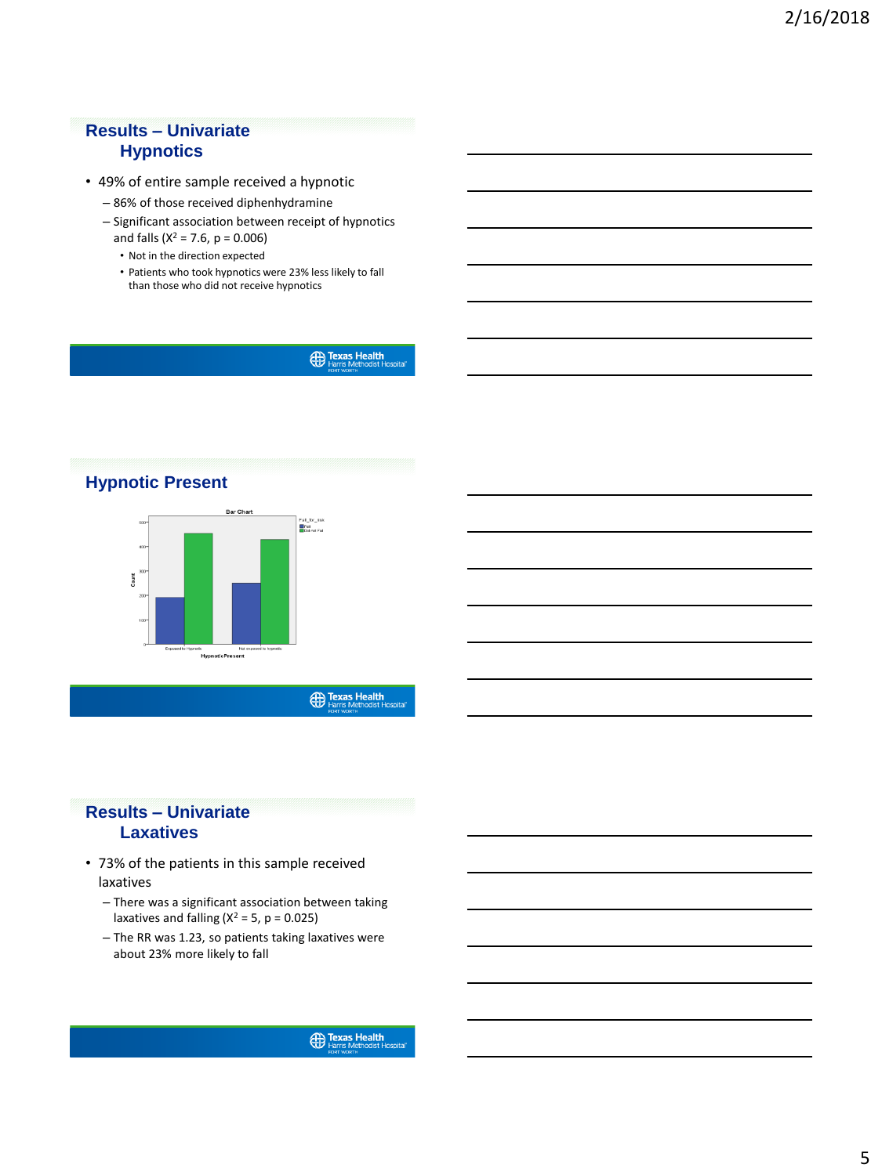# **Results – Univariate Hypnotics**

- 49% of entire sample received a hypnotic
	- 86% of those received diphenhydramine
	- Significant association between receipt of hypnotics and falls ( $X^2 = 7.6$ ,  $p = 0.006$ )
		- Not in the direction expected
		- Patients who took hypnotics were 23% less likely to fall than those who did not receive hypnotics

**ED Texas Health**<br>Harris Methodist Hospital



**Exas Health** 

# **Results – Univariate Laxatives**

- 73% of the patients in this sample received laxatives
	- There was a significant association between taking laxatives and falling  $(X^2 = 5, p = 0.025)$
	- The RR was 1.23, so patients taking laxatives were about 23% more likely to fall

**Exas Health**<br>Harris Methodist Hos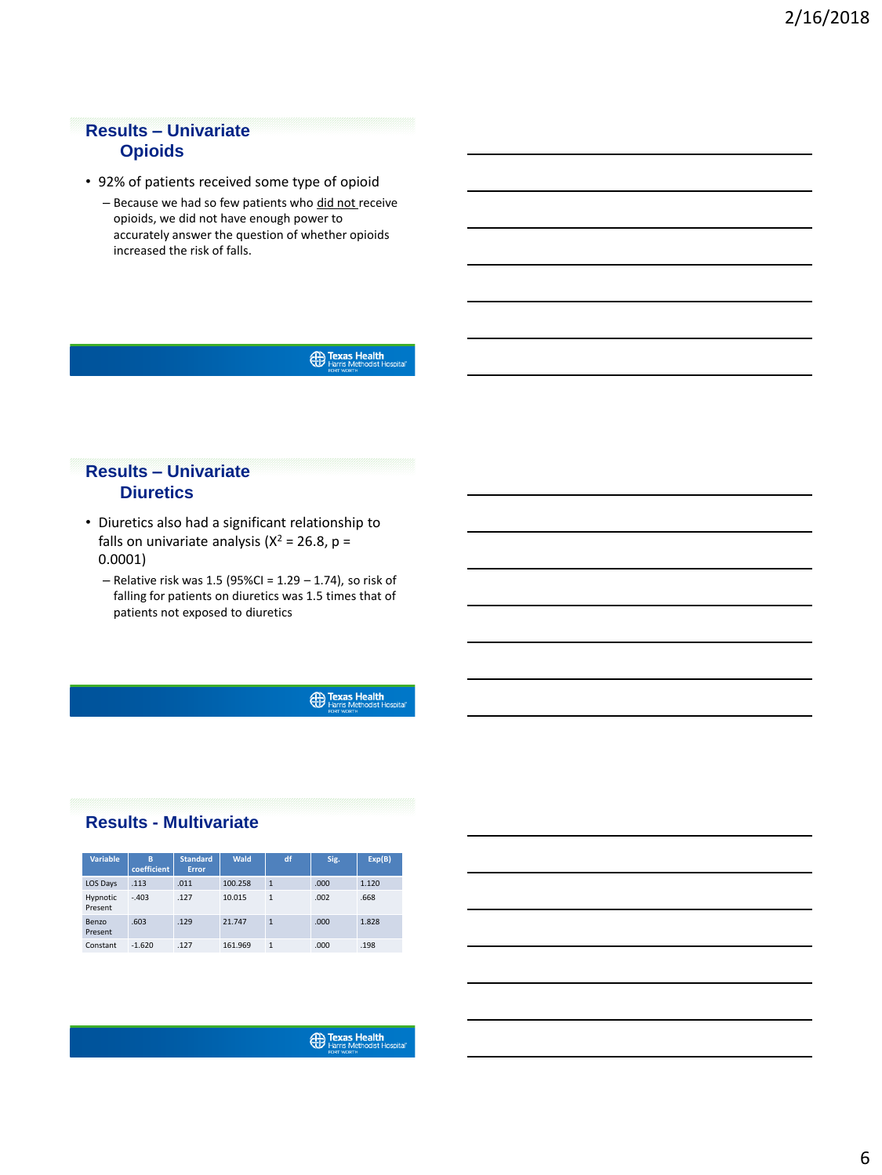# **Results – Univariate Opioids**

- 92% of patients received some type of opioid
	- Because we had so few patients who did not receive opioids, we did not have enough power to accurately answer the question of whether opioids increased the risk of falls.

**Exas Health**<br>
Methodist Hospital

# **Results – Univariate Diuretics**

- Diuretics also had a significant relationship to falls on univariate analysis ( $X^2 = 26.8$ , p = 0.0001)
	- $-$  Relative risk was 1.5 (95%CI = 1.29  $-$  1.74), so risk of falling for patients on diuretics was 1.5 times that of patients not exposed to diuretics

**Exas Health** 

# **Results - Multivariate**

| <b>Variable</b>     | в<br>coefficient | <b>Standard</b><br>Error | Wald    | df           | Sig. | Exp(B) |
|---------------------|------------------|--------------------------|---------|--------------|------|--------|
| LOS Days            | .113             | .011                     | 100.258 | $\mathbf{1}$ | .000 | 1.120  |
| Hypnotic<br>Present | $-.403$          | .127                     | 10.015  | 1            | .002 | .668   |
| Benzo<br>Present    | .603             | .129                     | 21.747  | $\mathbf{1}$ | .000 | 1.828  |
| Constant            | $-1.620$         | .127                     | 161.969 | 1            | .000 | .198   |

**Exas Health**<br>Harris Methodist Hos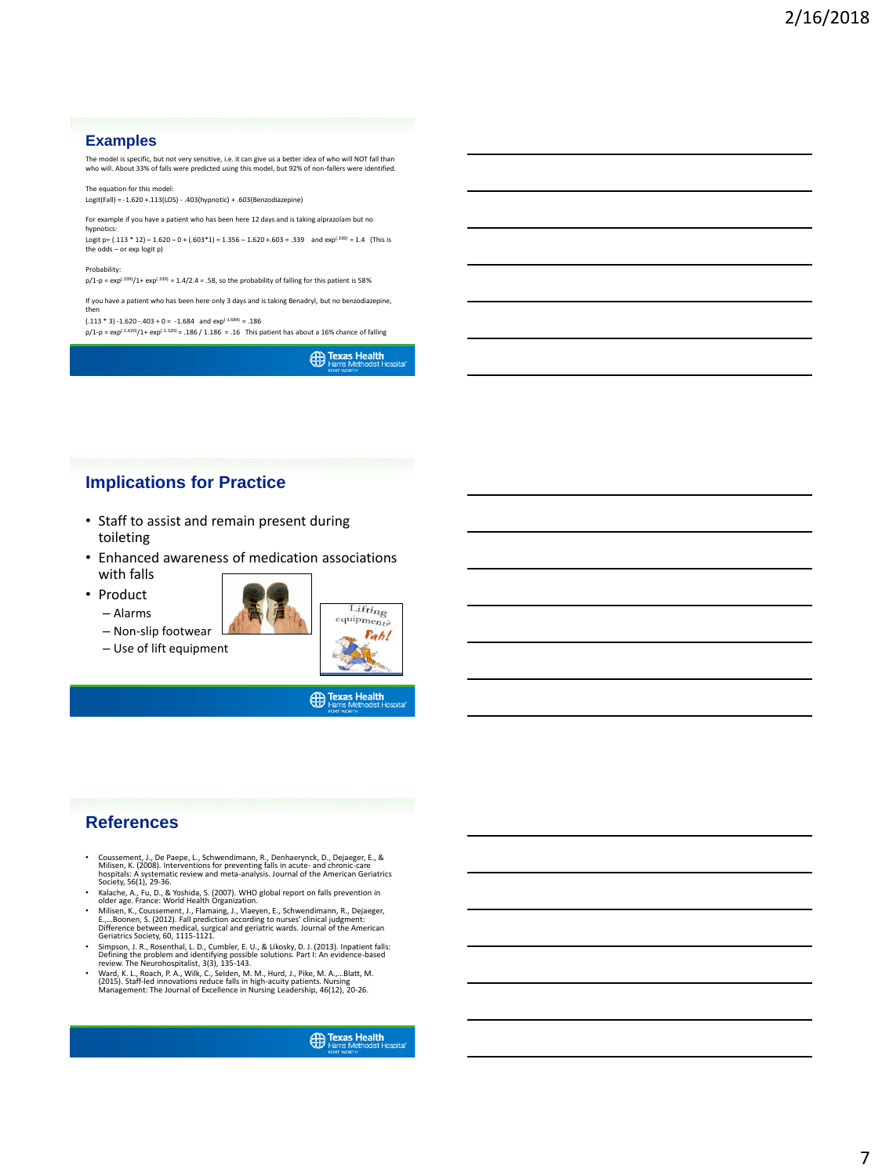### **Examples**

The model is specific, but not very sensitive, i.e. it can give us a better idea of who will NOT fall than who will. About 33% of falls were predicted using this model, but 92% of non-fallers were identified.

The equation for this model: Logit(Fall) = -1.620 +.113(LOS) - .403(hypnotic) + .603(Benzodiazepine)

For example if you have a patient who has been here 12 days and is taking alprazolam but no

hypnotics: Logit p=  $(.113 * 12) - 1.620 - 0 + (.603 * 1) = 1.356 - 1.620 + .603 = .339$  and exp<sup> $(.339)$ </sup> = 1.4 (This is the odds – or exp logit p)

#### Probability:

 $p/1-p = exp^{(.339)}/1+ exp^{(.339)} = 1.4/2.4 = .58$ , so the probability of falling for this patient is 58%

If you have a patient who has been here only 3 days and is taking Benadryl, but no benzodiazepine, then

(.113 \* 3) -1.620 -.403 + 0 = -1.684 and exp<sup>(-1.684</sup>) = .186<br>p/1-p = exp<sup>(-1.620)</sup>/1+ exp<sup>(-1.320)</sup> = .186 / 1.186 = .16 This patient has about a 16% chance of falling

**ED Texas Health**<br>Harris Methodist Hospital

# **Implications for Practice**

- Staff to assist and remain present during toileting
- Enhanced awareness of medication associations with falls
- Product
	- Alarms



– Use of lift equipment

– Non-slip footwear



**Exas Health** 

# **References**

- Coussement, J., De Paepe, L., Schwendimann, R., Denhaerynck, D., Dejaeger, E., &<br>Milisen, K. (2008). Interventions for preventing falls in acute- and chronic-care<br>hospitals: A systematic review and meta-analysis. Journal
- Kalache, A., Fu, D., & Yoshida, S. (2007). WHO global report on falls prevention in older age. France: World Health Organization.
- Milisen, K., Coussement, J., Flamaing, J., Vlaeyen, E., Schwendimann, R., Dejaeger,<br>E.,...Boonen, S. (2012). Fall prediction according to nurses' clinical judgment:<br>Difference between medical, surgical and geriatric ward
- Simpson, J. R., Rosenthal, L. D., Cumbler, E. U., & Likosky, D. J. (2013). Inpatient falls: Defining the problem and identifying possible solutions. Part I: An evidence-based review. The Neurohospitalist, 3(3), 135-143.
- Ward, K. L., Roach, P. A., Wilk, C., Selden, M. M., Hurd, J., Pike, M. A.,...Blatt, M.<br>(2015). Staff-led innovations reduce falls in high-acuity patients. Nursing<br>Management: The Journal of Excellence in Nursing Leadersh

**ED Texas Health**